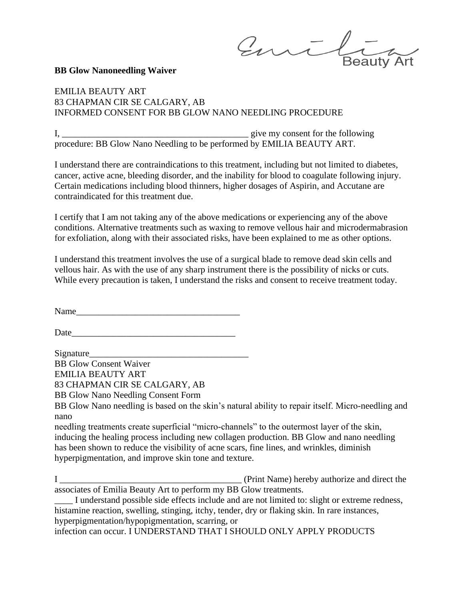Emil **Beauty Art** 

## **BB Glow Nanoneedling Waiver**

## EMILIA BEAUTY ART 83 CHAPMAN CIR SE CALGARY, AB INFORMED CONSENT FOR BB GLOW NANO NEEDLING PROCEDURE

I, *\_\_\_\_\_\_\_\_\_\_\_\_\_\_\_\_\_\_\_\_\_\_\_\_\_\_\_\_\_\_\_\_\_\_\_\_\_\_\_\_\_* give my consent for the following procedure: BB Glow Nano Needling to be performed by EMILIA BEAUTY ART.

I understand there are contraindications to this treatment, including but not limited to diabetes, cancer, active acne, bleeding disorder, and the inability for blood to coagulate following injury. Certain medications including blood thinners, higher dosages of Aspirin, and Accutane are contraindicated for this treatment due.

I certify that I am not taking any of the above medications or experiencing any of the above conditions. Alternative treatments such as waxing to remove vellous hair and microdermabrasion for exfoliation, along with their associated risks, have been explained to me as other options.

I understand this treatment involves the use of a surgical blade to remove dead skin cells and vellous hair. As with the use of any sharp instrument there is the possibility of nicks or cuts. While every precaution is taken, I understand the risks and consent to receive treatment today.

Name

Date\_\_\_\_\_\_\_\_\_\_\_\_\_\_\_\_\_\_\_\_\_\_\_\_\_\_\_\_\_\_\_\_\_\_\_\_

Signature\_\_\_\_\_\_\_\_\_\_\_\_\_\_\_\_\_\_\_\_\_\_\_\_\_\_\_\_\_\_\_\_\_\_\_

BB Glow Consent Waiver EMILIA BEAUTY ART

83 CHAPMAN CIR SE CALGARY, AB

BB Glow Nano Needling Consent Form

BB Glow Nano needling is based on the skin's natural ability to repair itself. Micro-needling and nano

needling treatments create superficial "micro-channels" to the outermost layer of the skin, inducing the healing process including new collagen production. BB Glow and nano needling has been shown to reduce the visibility of acne scars, fine lines, and wrinkles, diminish hyperpigmentation, and improve skin tone and texture.

**I** *<u>\_\_\_\_\_\_\_\_\_\_\_\_\_\_\_\_\_\_\_\_\_\_\_\_</u> (Print Name) hereby authorize and direct the* associates of Emilia Beauty Art to perform my BB Glow treatments.

I understand possible side effects include and are not limited to: slight or extreme redness, histamine reaction, swelling, stinging, itchy, tender, dry or flaking skin. In rare instances, hyperpigmentation/hypopigmentation, scarring, or

infection can occur. I UNDERSTAND THAT I SHOULD ONLY APPLY PRODUCTS